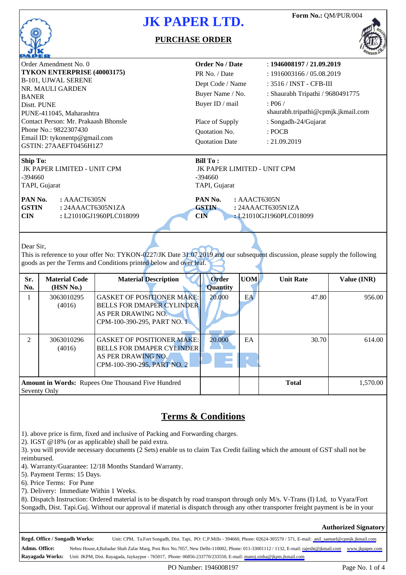

#### **PURCHASE ORDER**



| Order Amendment No. 0                                                                                                                                                                                                  | <b>Order No / Date</b>                                                       | : 1946008197 / 21.092019           |  |  |  |  |  |
|------------------------------------------------------------------------------------------------------------------------------------------------------------------------------------------------------------------------|------------------------------------------------------------------------------|------------------------------------|--|--|--|--|--|
| TYKON ENTERPRISE (40003175)                                                                                                                                                                                            | PR No. / Date                                                                | : 1916003166 / 05.082019           |  |  |  |  |  |
| B-101, UJWAL SERENE                                                                                                                                                                                                    | Dept Code / Name                                                             | : 3516 / INST - CFB-III            |  |  |  |  |  |
| NR. MAULI GARDEN                                                                                                                                                                                                       | Buyer Name / No.                                                             | : Shaurabh Tripathi / 9680491775   |  |  |  |  |  |
| <b>BANER</b>                                                                                                                                                                                                           |                                                                              |                                    |  |  |  |  |  |
| Distt. PUNE                                                                                                                                                                                                            | Buyer ID / mail                                                              | : P06 /                            |  |  |  |  |  |
| PUNE-411045, Maharashtra                                                                                                                                                                                               |                                                                              | shaurabh.tripathi@cpmjk.jkmail.com |  |  |  |  |  |
| Contact Person: Mr. Prakaash Bhonsle                                                                                                                                                                                   | Place of Supply                                                              | : Songadh-24/Gujarat               |  |  |  |  |  |
| Phone No.: 9822307430                                                                                                                                                                                                  | Quotation No.                                                                | : POCB                             |  |  |  |  |  |
| Email ID: tykonentp@gmail.com                                                                                                                                                                                          | <b>Quotation Date</b>                                                        | : 21.09.2019                       |  |  |  |  |  |
| GSTIN: 27AAEFT0456H1Z7                                                                                                                                                                                                 |                                                                              |                                    |  |  |  |  |  |
| <b>Ship To:</b><br>JK PAPER LIMITED - UNIT CPM<br>-394660<br>TAPI, Gujarat                                                                                                                                             | <b>Bill To:</b><br>JK PAPER LIMITED - UNIT CPM<br>$-394660$<br>TAPI, Gujarat |                                    |  |  |  |  |  |
| PAN No.<br>: AAACT6305N                                                                                                                                                                                                | PAN No.<br>: AAACT6305N                                                      |                                    |  |  |  |  |  |
| <b>GSTIN</b><br>: 24AAACT6305N1ZA                                                                                                                                                                                      | <b>GSTIN</b><br>: 24AAACT6305N1ZA                                            |                                    |  |  |  |  |  |
| <b>CIN</b><br>: L21010GJ1960PLC018099<br><b>CIN</b><br>: L21010GJ1960PLC018099                                                                                                                                         |                                                                              |                                    |  |  |  |  |  |
| Dear Sir.<br>This is reference to your offer No: TYKON-0227/JK Date 31.07.2019 and our subsequent discussion, please supply the following<br>goods as per the Terms and Conditions printed below and over leaf.<br>. . |                                                                              |                                    |  |  |  |  |  |

| Sr.<br>No.     | <b>Material Code</b><br>(HSN No.) | <b>Material Description</b>                                                                                                | <b>Order</b><br><b>Quantity</b> | <b>UOM</b> | <b>Unit Rate</b> | Value (INR) |
|----------------|-----------------------------------|----------------------------------------------------------------------------------------------------------------------------|---------------------------------|------------|------------------|-------------|
|                | 3063010295<br>(4016)              | <b>GASKET OF POSITIONER MAKE:</b><br><b>BELLS FOR DMAPER CYLINDER</b><br>AS PER DRAWING NO.<br>CPM-100-390-295, PART NO. 1 | 20.000                          | EA         | 47.80            | 956.00      |
| $\mathfrak{D}$ | 3063010296<br>(4016)              | <b>GASKET OF POSITIONER MAKE:</b><br><b>BELLS FOR DMAPER CYLINDER</b><br>AS PER DRAWING NO.<br>CPM-100-390-295, PART NO. 2 | 20.000                          | EA         | 30.70            | 614.00      |
|                | Seventy Only                      | <b>Amount in Words:</b> Rupees One Thousand Five Hundred                                                                   |                                 |            | <b>Total</b>     | 1,570.00    |

### **Terms & Conditions**

1). above price is firm, fixed and inclusive of Packing and Forwarding charges.

2). IGST @18% (or as applicable) shall be paid extra.

3). you will provide necessary documents (2 Sets) enable us to claim Tax Credit failing which the amount of GST shall not be reimbursed.

4). Warranty/Guarantee: 12/18 Months Standard Warranty.

5). Payment Terms: 15 Days.

6). Price Terms: For Pune

7). Delivery: Immediate Within 1 Weeks.

8). Dispatch Instruction: Ordered material is to be dispatch by road transport through only M/s. V-Trans (I) Ltd, to Vyara/Fort Songadh, Dist. Tapi.Guj. Without our approval if material is dispatch through any other transporter freight payment is be in your

**Authorized Signatory**

**Regd. Office / Songadh Works:** Unit: CPM, Ta.Fort Songadh, Dist. Tapi, PO: C.P.Mills - 394660, Phone: 02624-305570 / 571, E-mail: [anil\\_samuel@cpmjk.jkmail.com]( anil_samuel@cpmjk.jkmail.com) **Admn. Office: Rayagada Works:** Unit: JKPM, Dist. Rayagada, Jaykaypur - 765017, Phone: 06856-233770/233550, E-mail: <manoj.sinha@jkpm.jkmail.com> Nehru House,4,Bahadur Shah Zafar Marg, Post Box No.7057, New Delhi-110002, Phone: 011-33001112 / 1132, E-mail:<rajesht@jkmail.com><www.jkpaper.com>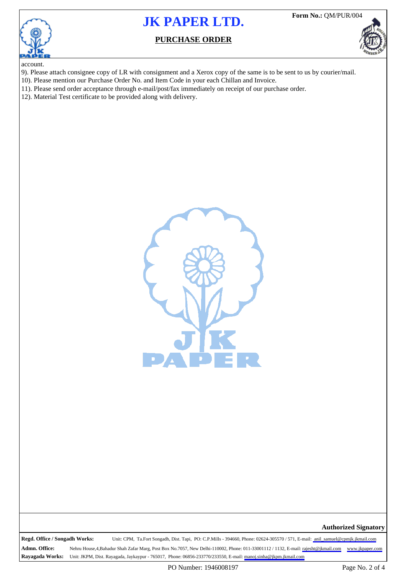

**Form No.:** QM/PUR/004

### **PURCHASE ORDER**



account.

- 9). Please attach consignee copy of LR with consignment and a Xerox copy of the same is to be sent to us by courier/mail.
- 10). Please mention our Purchase Order No. and Item Code in your each Chillan and Invoice.
- 11). Please send order acceptance through e-mail/post/fax immediately on receipt of our purchase order.
- 12). Material Test certificate to be provided along with delivery.



**Authorized Signatory**

**Regd. Office / Songadh Works:** Unit: CPM, Ta.Fort Songadh, Dist. Tapi, PO: C.P.Mills - 394660, Phone: 02624-305570 / 571, E-mail: [anil\\_samuel@cpmjk.jkmail.com]( anil_samuel@cpmjk.jkmail.com)

**Admn. Office: Rayagada Works:** Unit: JKPM, Dist. Rayagada, Jaykaypur - 765017, Phone: 06856-233770/233550, E-mail: <manoj.sinha@jkpm.jkmail.com> Nehru House,4,Bahadur Shah Zafar Marg, Post Box No.7057, New Delhi-110002, Phone: 011-33001112 / 1132, E-mail:<rajesht@jkmail.com><www.jkpaper.com>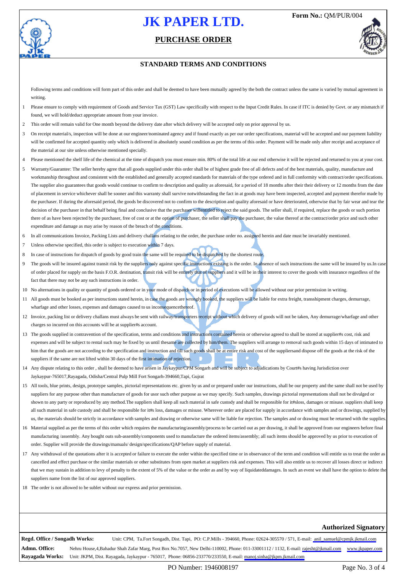

### **PURCHASE ORDER**



#### **STANDARD TERMS AND CONDITIONS**

Following terms and conditions will form part of this order and shall be deemed to have been mutually agreed by the both the contract unless the same is varied by mutual agreement in writing.

- 1 Please ensure to comply with requirement of Goods and Service Tax (GST) Law specifically with respect to the Input Credit Rules. In case if ITC is denied by Govt. or any mismatch if found, we will hold/deduct appropriate amount from your invoice.
- 2 This order will remain valid for One month beyond the delivery date after which delivery will be accepted only on prior approval by us.
- On receipt material/s, inspection will be done at our engineer/nominated agency and if found exactly as per our order specifications, material will be accepted and our payment liability will be confirmed for accepted quantity only which is delivered in absolutely sound condition as per the terms of this order. Payment will be made only after receipt and acceptance of the material at our site unless otherwise mentioned specially.
- 4 Please mentioned the shelf life of the chemical at the time of dispatch you must ensure min. 80% of the total life at our end otherwise it will be rejected and returned to you at your cost.
- 5 Warranty/Guarantee: The seller hereby agree that all goods supplied under this order shall be of highest grade free of all defects and of the best materials, quality, manufacture and workmanship throughout and consistent with the established and generally accepted standards for materials of the type ordered and in full conformity with contract/order specifications. The supplier also guarantees that goods would continue to confirm to description and quality as aforesaid, for a period of 18 months after their their delivery or 12 months from the date of placement in service whichever shall be sooner and this warranty shall survive notwithstanding the fact in at goods may have been inspected, accepted and payment therefor made by the purchaser. If during the aforesaid period, the goods be discovered not to confirm to the description and quality aforesaid or have deteriorated, otherwise that by fair wear and tear the decision of the purchaser in that behalf being final and conclusive that the purchaser willentitled to reject the said goods. The seller shall, if required, replace the goods or such portion there of as have been rejected by the purchaser, free of cost or at the option of purchaser, the seller shall pay the purchaser, the value thereof at the contract/order price and such other expenditure and damage as may arise by reason of the breach of the conditions.
- 6 In all communications Invoice, Packing Lists and delivery challans relating to the order, the purchase order no. assigned herein and date must be invariably mentioned.
- 7 Unless otherwise specified, this order is subject to execution within 7 days.
- 8 In case of instructions for dispatch of goods by good train the same will be required to be dispatched by the shortest route.
- 9 The goods will be insured against transit risk by the suppliers only against specific instructions existing is the order. In absence of such instructions the same will be insured by us. In case of order placed for supply on the basis F.O.R. destination, transit risk will be entirely that of suppliers and it will be in their interest to cover the goods with insurance regardless of the fact that there may not be any such instructions in order.
- 10 No alternations in quality or quantity of goods ordered or in your mode of dispatch or in period of executions will be allowed without our prior permission in writing.
- 11 All goods must be booked as per instructions stated herein, in case the goods are wrongly booked, the suppliers will be liable for extra freight, transshipment charges, demurrage, wharfage and other losses, expenses and damages caused to us inconsequence thereof.
- 12 Invoice, packing list or delivery challans must always be sent with railway/transporters receipt without which delivery of goods will not be taken, Any demurrage/wharfage and other charges so incurred on this accounts will be at supplier#s account.
- 13 The goods supplied in contravention of the specification, terms and conditions and instructions contained herein or otherwise agreed to shall be stored at supplier#s cost, risk and expenses and will be subject to rental such may be fixed by us until thesame are collected by him/them. The suppliers will arrange to removal such goods within 15 days of intimated to him that the goods are not according to the specification and instruction and till such goods shall be at entire risk and cost of the suppliersand dispose off the goods at the risk of the suppliers if the same are not lifted within 30 days of the first intimation of rejection.
- 14 Any dispute relating to this order, shall be deemed to have arisen in Jaykaypur/CPM Songarh and will be subject to adjudications by Court#s having Jurisdiction over Jaykaypur-765017,Rayagada, Odisha/Central Pulp Mill Fort Songarh-394660,Tapi, Gujrat
- 15 All tools, blue prints, design, prototype samples, pictorial representations etc. given by us and or prepared under our instructions, shall be our property and the same shall not be used by suppliers for any purpose other than manufacture of goods for usor such other purpose as we may specify. Such samples, drawings pictorial representations shall not be divulged or shown to any party or reproduced by any method.The suppliers shall keep all such material in safe custody and shall be responsible for it#sloss, damages or misuse. suppliers shall keep all such material in safe custody and shall be responsible for it#s loss, damages or misuse. Wherever order are placed for supply in accordance with samples and or drawings, supplied by us, the materials should be strictly in accordance with samples and drawing or otherwise same will be liable for rejection. The samples and or drawing must be returned with the supplies
- 16 Material supplied as per the terms of this order which requires the manufacturing/assembly/process to be carried out as per drawing, it shall be approved from our engineers before final manufacturing /assembly. Any bought outs sub-assembly/components used to manufacture the ordered items/assembly; all such items should be approved by us prior to execution of order. Supplier will provide the drawings/manuals/ design/specifications/QAP before supply of material.
- 17 Any withdrawal of the quotations after it is accepted or failure to execute the order within the specified time or in observance of the term and condition will entitle us to treat the order as cancelled and effect purchase or the similar materials or other substitutes from open market at suppliers risk and expenses. This will also entitle us to recover all losses direct or indirect that we may sustain in addition to levy of penalty to the extent of 5% of the value or the order as and by way of liquidateddamages. In such an event we shall have the option to delete the suppliers name from the list of our approved suppliers.
- 18 The order is not allowed to be sublet without our express and prior permission.

#### **Authorized Signatory**

**Regd. Office / Songadh Works:** Unit: CPM, Ta.Fort Songadh, Dist. Tapi, PO: C.P.Mills - 394660, Phone: 02624-305570 / 571, E-mail: [anil\\_samuel@cpmjk.jkmail.com]( anil_samuel@cpmjk.jkmail.com)

**Admn. Office: Rayagada Works:** Nehru House,4,Bahadur Shah Zafar Marg, Post Box No.7057, New Delhi-110002, Phone: 011-33001112 / 1132, E-mail:<rajesht@jkmail.com><www.jkpaper.com> Unit: JKPM, Dist. Rayagada, Jaykaypur - 765017, Phone: 06856-233770/233550, E-mail: <manoj.sinha@jkpm.jkmail.com>